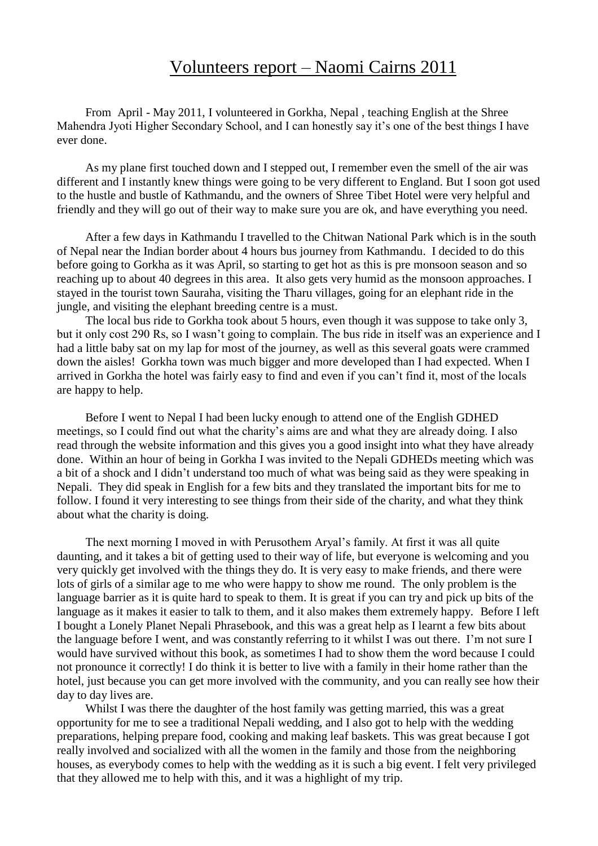## Volunteers report – Naomi Cairns 2011

From April - May 2011, I volunteered in Gorkha, Nepal , teaching English at the Shree Mahendra Jyoti Higher Secondary School, and I can honestly say it's one of the best things I have ever done.

As my plane first touched down and I stepped out, I remember even the smell of the air was different and I instantly knew things were going to be very different to England. But I soon got used to the hustle and bustle of Kathmandu, and the owners of Shree Tibet Hotel were very helpful and friendly and they will go out of their way to make sure you are ok, and have everything you need.

After a few days in Kathmandu I travelled to the Chitwan National Park which is in the south of Nepal near the Indian border about 4 hours bus journey from Kathmandu. I decided to do this before going to Gorkha as it was April, so starting to get hot as this is pre monsoon season and so reaching up to about 40 degrees in this area. It also gets very humid as the monsoon approaches. I stayed in the tourist town Sauraha, visiting the Tharu villages, going for an elephant ride in the jungle, and visiting the elephant breeding centre is a must.

The local bus ride to Gorkha took about 5 hours, even though it was suppose to take only 3, but it only cost 290 Rs, so I wasn't going to complain. The bus ride in itself was an experience and I had a little baby sat on my lap for most of the journey, as well as this several goats were crammed down the aisles! Gorkha town was much bigger and more developed than I had expected. When I arrived in Gorkha the hotel was fairly easy to find and even if you can't find it, most of the locals are happy to help.

Before I went to Nepal I had been lucky enough to attend one of the English GDHED meetings, so I could find out what the charity's aims are and what they are already doing. I also read through the website information and this gives you a good insight into what they have already done. Within an hour of being in Gorkha I was invited to the Nepali GDHEDs meeting which was a bit of a shock and I didn't understand too much of what was being said as they were speaking in Nepali. They did speak in English for a few bits and they translated the important bits for me to follow. I found it very interesting to see things from their side of the charity, and what they think about what the charity is doing.

The next morning I moved in with Perusothem Aryal's family. At first it was all quite daunting, and it takes a bit of getting used to their way of life, but everyone is welcoming and you very quickly get involved with the things they do. It is very easy to make friends, and there were lots of girls of a similar age to me who were happy to show me round. The only problem is the language barrier as it is quite hard to speak to them. It is great if you can try and pick up bits of the language as it makes it easier to talk to them, and it also makes them extremely happy. Before I left I bought a Lonely Planet Nepali Phrasebook, and this was a great help as I learnt a few bits about the language before I went, and was constantly referring to it whilst I was out there. I'm not sure I would have survived without this book, as sometimes I had to show them the word because I could not pronounce it correctly! I do think it is better to live with a family in their home rather than the hotel, just because you can get more involved with the community, and you can really see how their day to day lives are.

Whilst I was there the daughter of the host family was getting married, this was a great opportunity for me to see a traditional Nepali wedding, and I also got to help with the wedding preparations, helping prepare food, cooking and making leaf baskets. This was great because I got really involved and socialized with all the women in the family and those from the neighboring houses, as everybody comes to help with the wedding as it is such a big event. I felt very privileged that they allowed me to help with this, and it was a highlight of my trip.